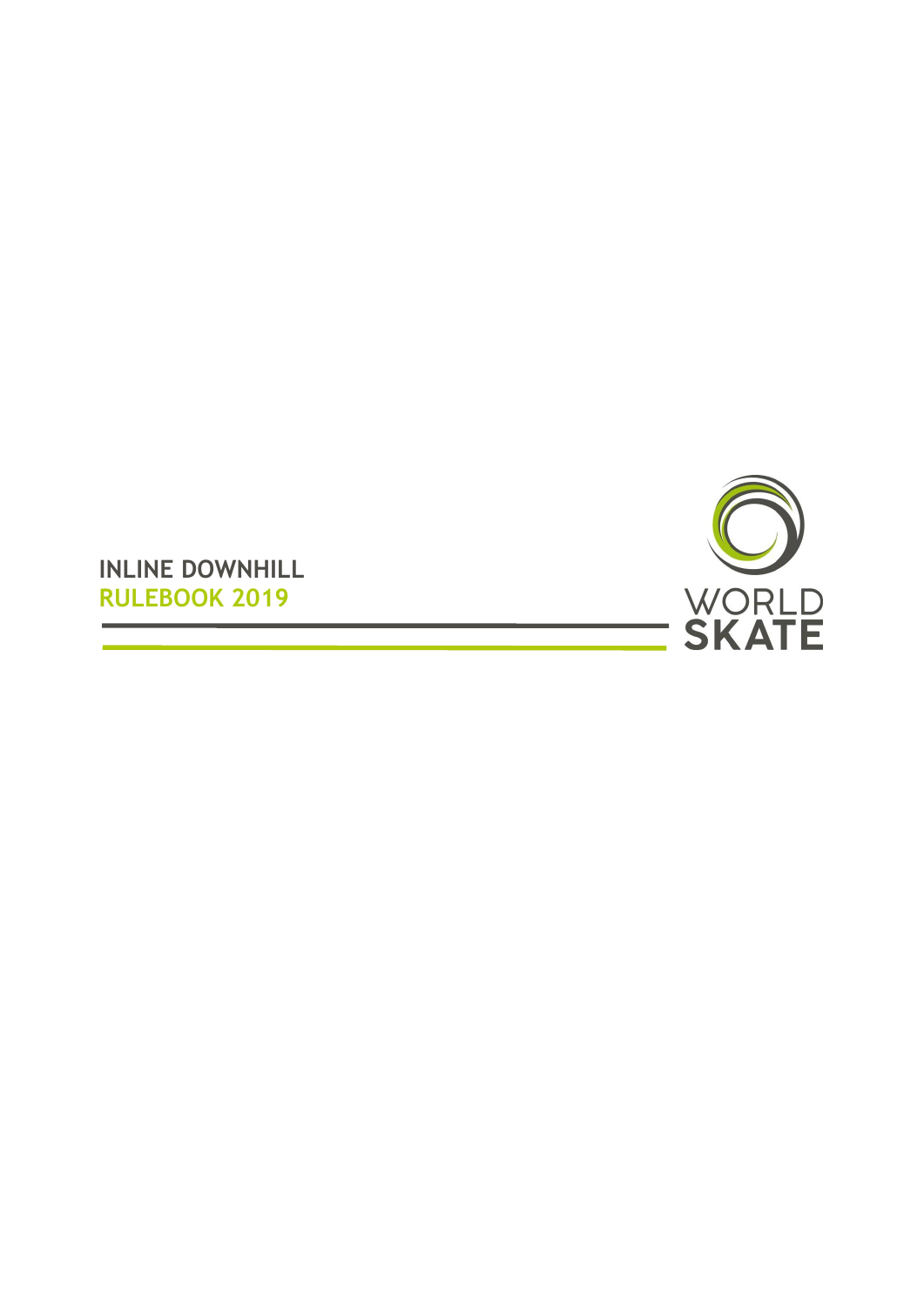

**INLINE DOWNHILL RULEBOOK 2019**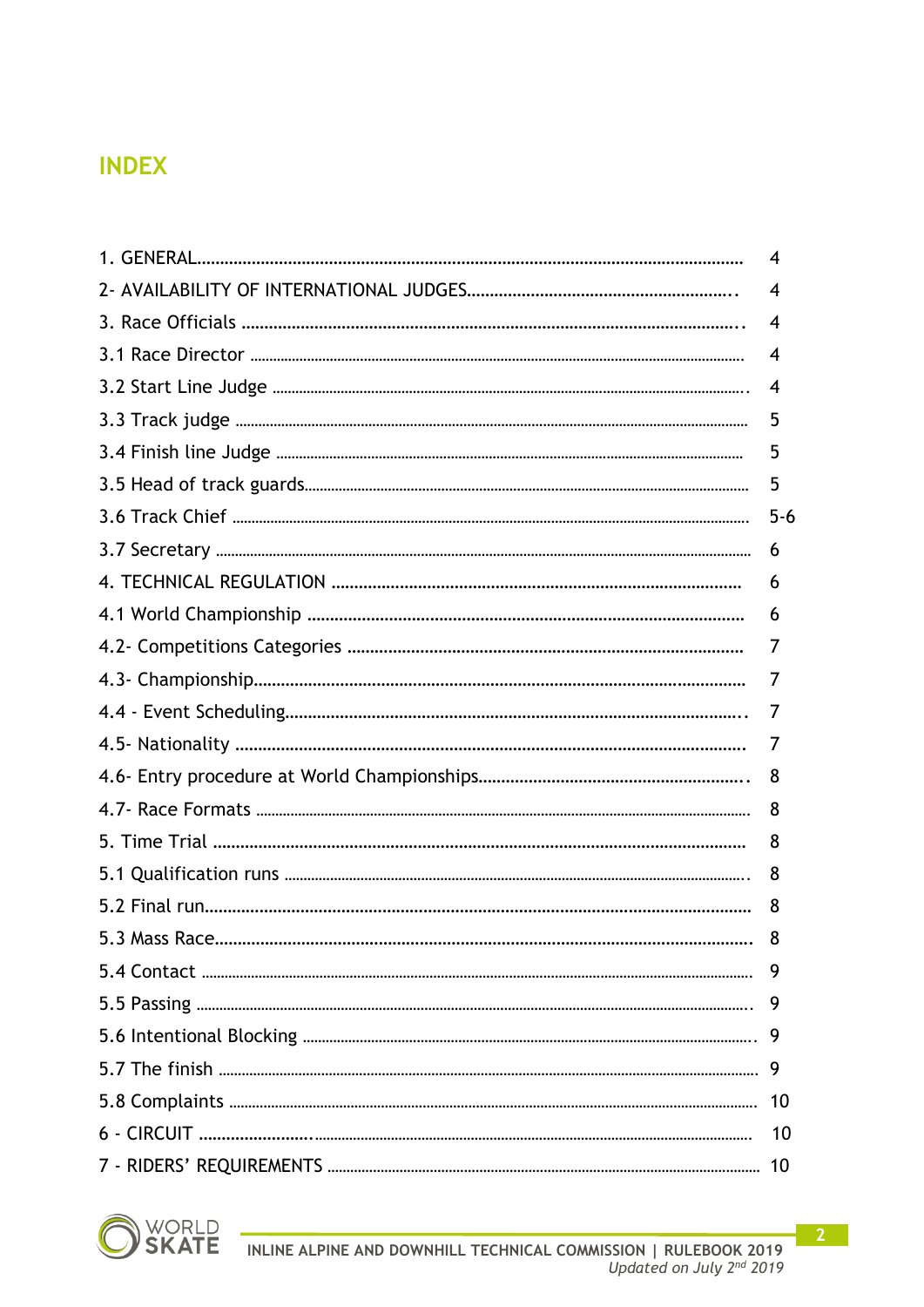## **INDEX**

|                | 4        |
|----------------|----------|
|                | 4        |
|                | 4        |
|                | 4        |
|                | 4        |
|                | 5        |
|                | 5        |
|                | 5        |
|                | $5 - 6$  |
|                | 6        |
|                | 6        |
|                | 6        |
|                | $\prime$ |
|                | $\prime$ |
|                | $\prime$ |
|                | $\prime$ |
|                | 8        |
|                | 8        |
|                | 8        |
|                | 8        |
|                | 8        |
| 5.3 Mass Race. | 8        |
|                | 9        |
|                |          |
|                |          |
|                |          |
|                | 10       |
|                | 10       |
|                | 10       |

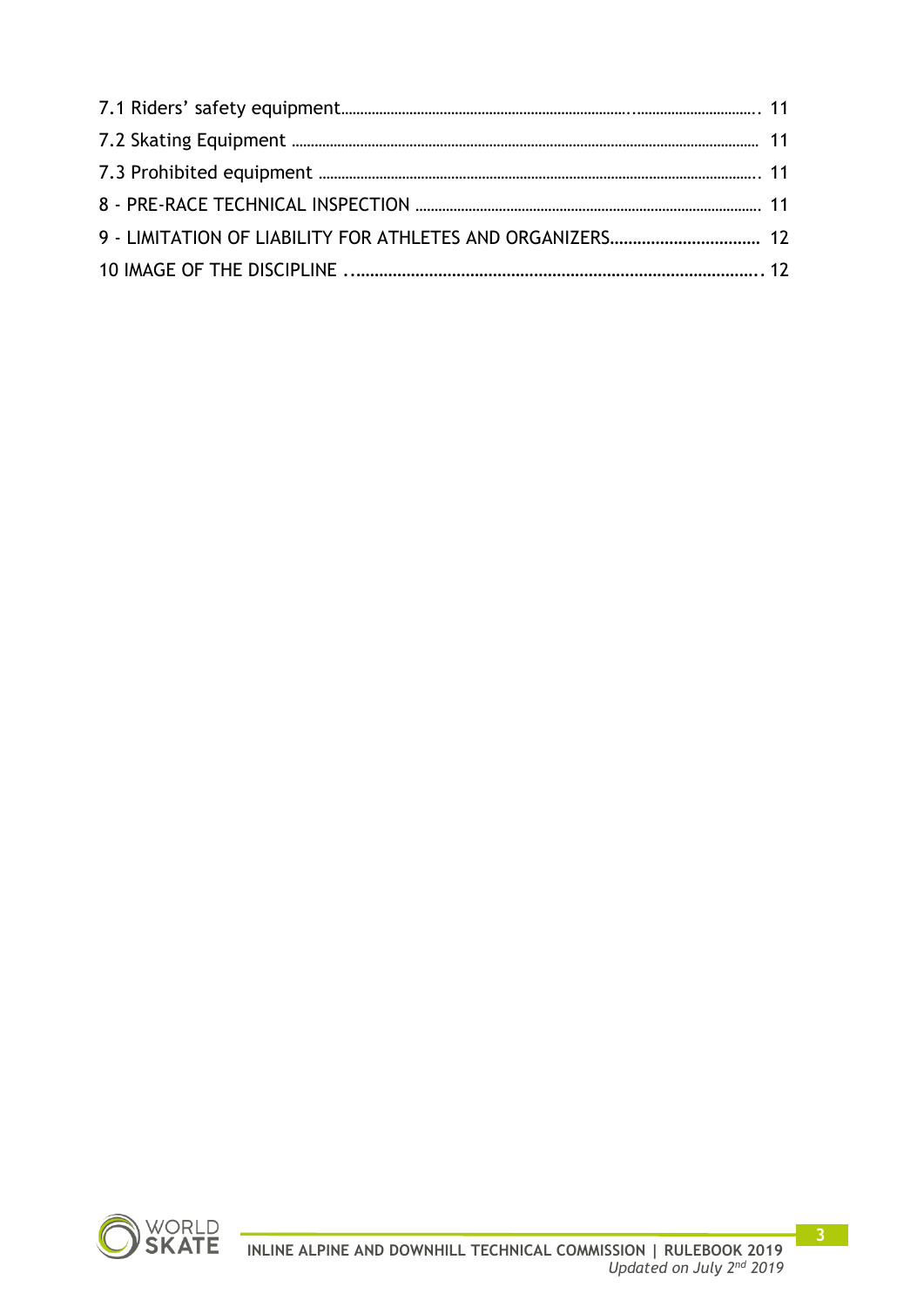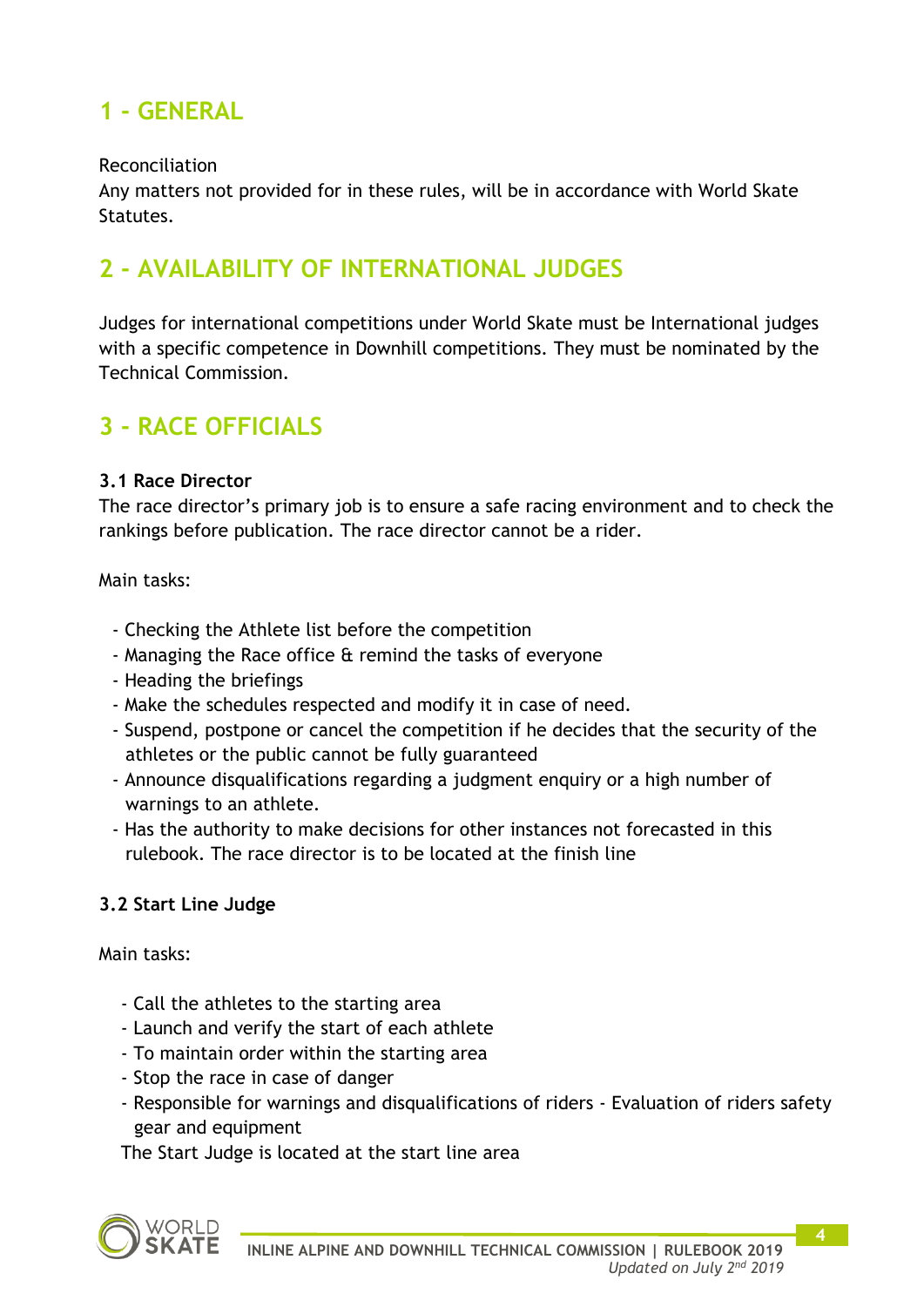# **1 - GENERAL**

#### Reconciliation

Any matters not provided for in these rules, will be in accordance with World Skate Statutes.

# **2 - AVAILABILITY OF INTERNATIONAL JUDGES**

Judges for international competitions under World Skate must be International judges with a specific competence in Downhill competitions. They must be nominated by the Technical Commission.

# **3 - RACE OFFICIALS**

### **3.1 Race Director**

The race director's primary job is to ensure a safe racing environment and to check the rankings before publication. The race director cannot be a rider.

Main tasks:

- Checking the Athlete list before the competition
- Managing the Race office & remind the tasks of everyone
- Heading the briefings
- Make the schedules respected and modify it in case of need.
- Suspend, postpone or cancel the competition if he decides that the security of the athletes or the public cannot be fully guaranteed
- Announce disqualifications regarding a judgment enquiry or a high number of warnings to an athlete.
- Has the authority to make decisions for other instances not forecasted in this rulebook. The race director is to be located at the finish line

### **3.2 Start Line Judge**

Main tasks:

- Call the athletes to the starting area
- Launch and verify the start of each athlete
- To maintain order within the starting area
- Stop the race in case of danger
- Responsible for warnings and disqualifications of riders Evaluation of riders safety gear and equipment

The Start Judge is located at the start line area

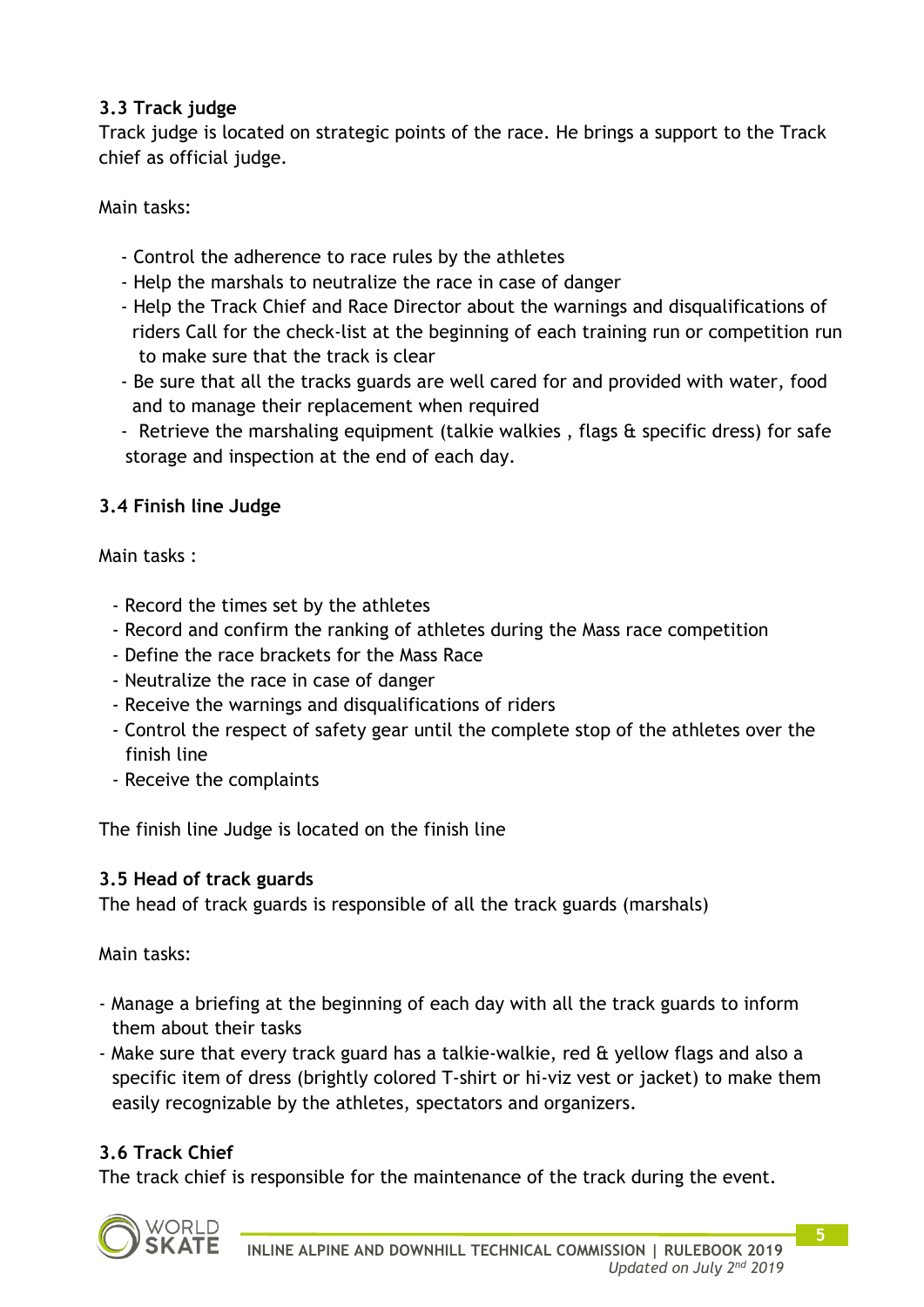### **3.3 Track judge**

Track judge is located on strategic points of the race. He brings a support to the Track chief as official judge.

Main tasks:

- Control the adherence to race rules by the athletes
- Help the marshals to neutralize the race in case of danger
- Help the Track Chief and Race Director about the warnings and disqualifications of riders Call for the check-list at the beginning of each training run or competition run to make sure that the track is clear
- Be sure that all the tracks guards are well cared for and provided with water, food and to manage their replacement when required
- Retrieve the marshaling equipment (talkie walkies , flags & specific dress) for safe storage and inspection at the end of each day.

### **3.4 Finish line Judge**

Main tasks :

- Record the times set by the athletes
- Record and confirm the ranking of athletes during the Mass race competition
- Define the race brackets for the Mass Race
- Neutralize the race in case of danger
- Receive the warnings and disqualifications of riders
- Control the respect of safety gear until the complete stop of the athletes over the finish line
- Receive the complaints

The finish line Judge is located on the finish line

### **3.5 Head of track guards**

The head of track guards is responsible of all the track guards (marshals)

Main tasks:

- Manage a briefing at the beginning of each day with all the track guards to inform them about their tasks
- Make sure that every track guard has a talkie-walkie, red & yellow flags and also a specific item of dress (brightly colored T-shirt or hi-viz vest or jacket) to make them easily recognizable by the athletes, spectators and organizers.

### **3.6 Track Chief**

The track chief is responsible for the maintenance of the track during the event.

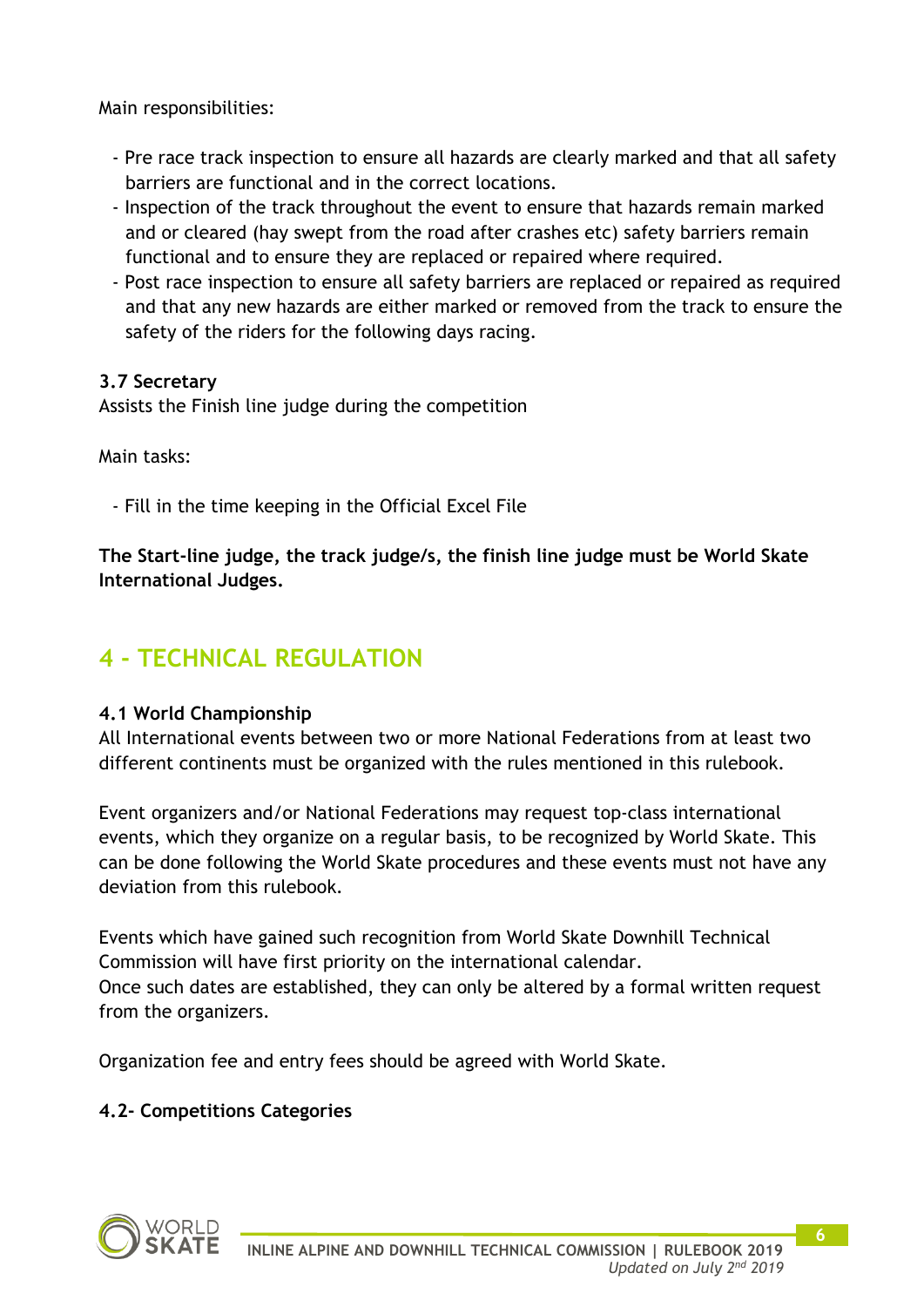Main responsibilities:

- Pre race track inspection to ensure all hazards are clearly marked and that all safety barriers are functional and in the correct locations.
- Inspection of the track throughout the event to ensure that hazards remain marked and or cleared (hay swept from the road after crashes etc) safety barriers remain functional and to ensure they are replaced or repaired where required.
- Post race inspection to ensure all safety barriers are replaced or repaired as required and that any new hazards are either marked or removed from the track to ensure the safety of the riders for the following days racing.

### **3.7 Secretary**

Assists the Finish line judge during the competition

Main tasks:

- Fill in the time keeping in the Official Excel File

**The Start-line judge, the track judge/s, the finish line judge must be World Skate International Judges.**

# **4 - TECHNICAL REGULATION**

### **4.1 World Championship**

All International events between two or more National Federations from at least two different continents must be organized with the rules mentioned in this rulebook.

Event organizers and/or National Federations may request top-class international events, which they organize on a regular basis, to be recognized by World Skate. This can be done following the World Skate procedures and these events must not have any deviation from this rulebook.

Events which have gained such recognition from World Skate Downhill Technical Commission will have first priority on the international calendar. Once such dates are established, they can only be altered by a formal written request from the organizers.

Organization fee and entry fees should be agreed with World Skate.

### **4.2- Competitions Categories**

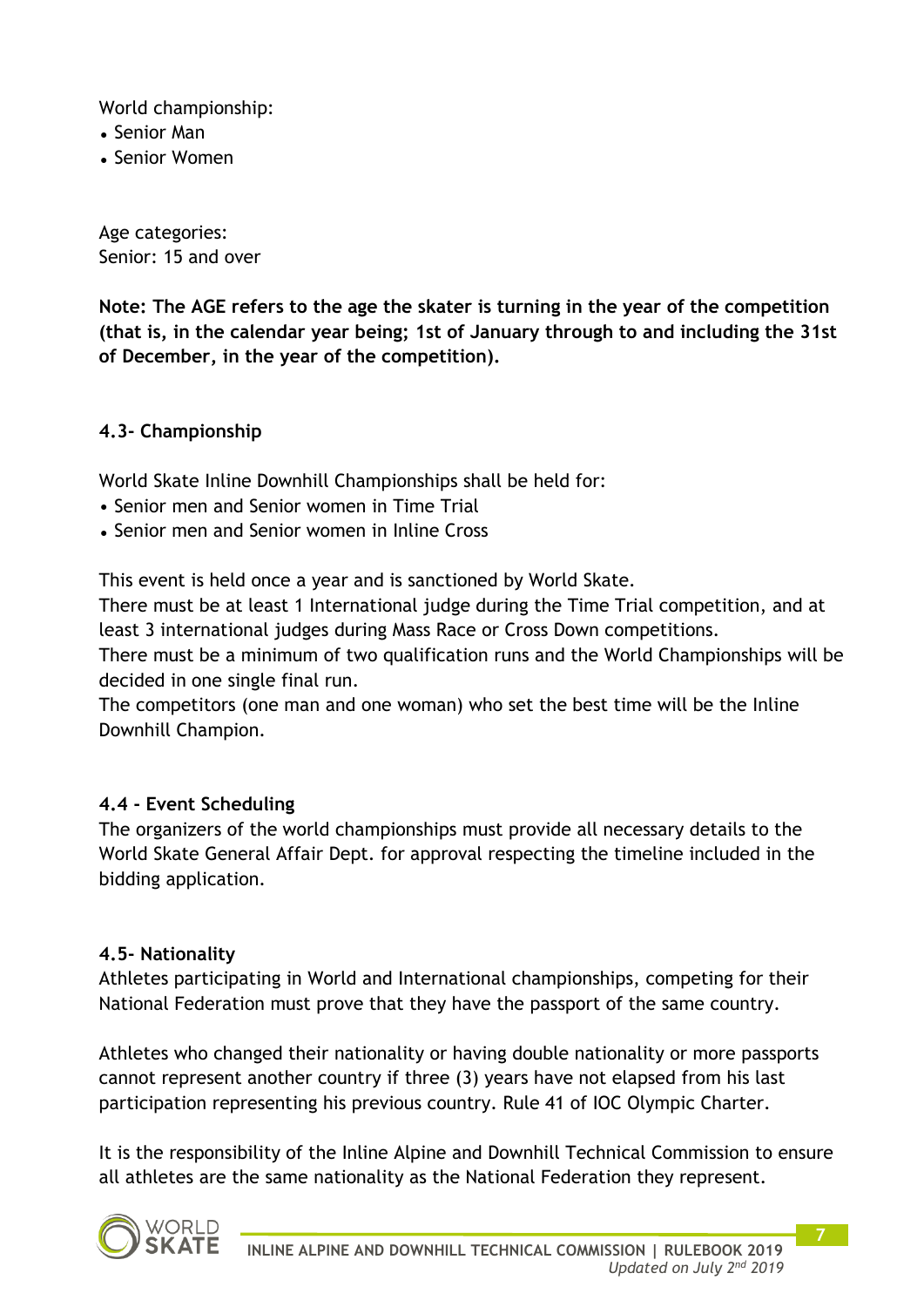World championship:

- Senior Man
- Senior Women

Age categories: Senior: 15 and over

**Note: The AGE refers to the age the skater is turning in the year of the competition (that is, in the calendar year being; 1st of January through to and including the 31st of December, in the year of the competition).**

#### **4.3- Championship**

World Skate Inline Downhill Championships shall be held for:

- Senior men and Senior women in Time Trial
- Senior men and Senior women in Inline Cross

This event is held once a year and is sanctioned by World Skate.

There must be at least 1 International judge during the Time Trial competition, and at least 3 international judges during Mass Race or Cross Down competitions.

There must be a minimum of two qualification runs and the World Championships will be decided in one single final run.

The competitors (one man and one woman) who set the best time will be the Inline Downhill Champion.

#### **4.4 - Event Scheduling**

The organizers of the world championships must provide all necessary details to the World Skate General Affair Dept. for approval respecting the timeline included in the bidding application.

#### **4.5- Nationality**

Athletes participating in World and International championships, competing for their National Federation must prove that they have the passport of the same country.

Athletes who changed their nationality or having double nationality or more passports cannot represent another country if three (3) years have not elapsed from his last participation representing his previous country. Rule 41 of IOC Olympic Charter.

It is the responsibility of the Inline Alpine and Downhill Technical Commission to ensure all athletes are the same nationality as the National Federation they represent.

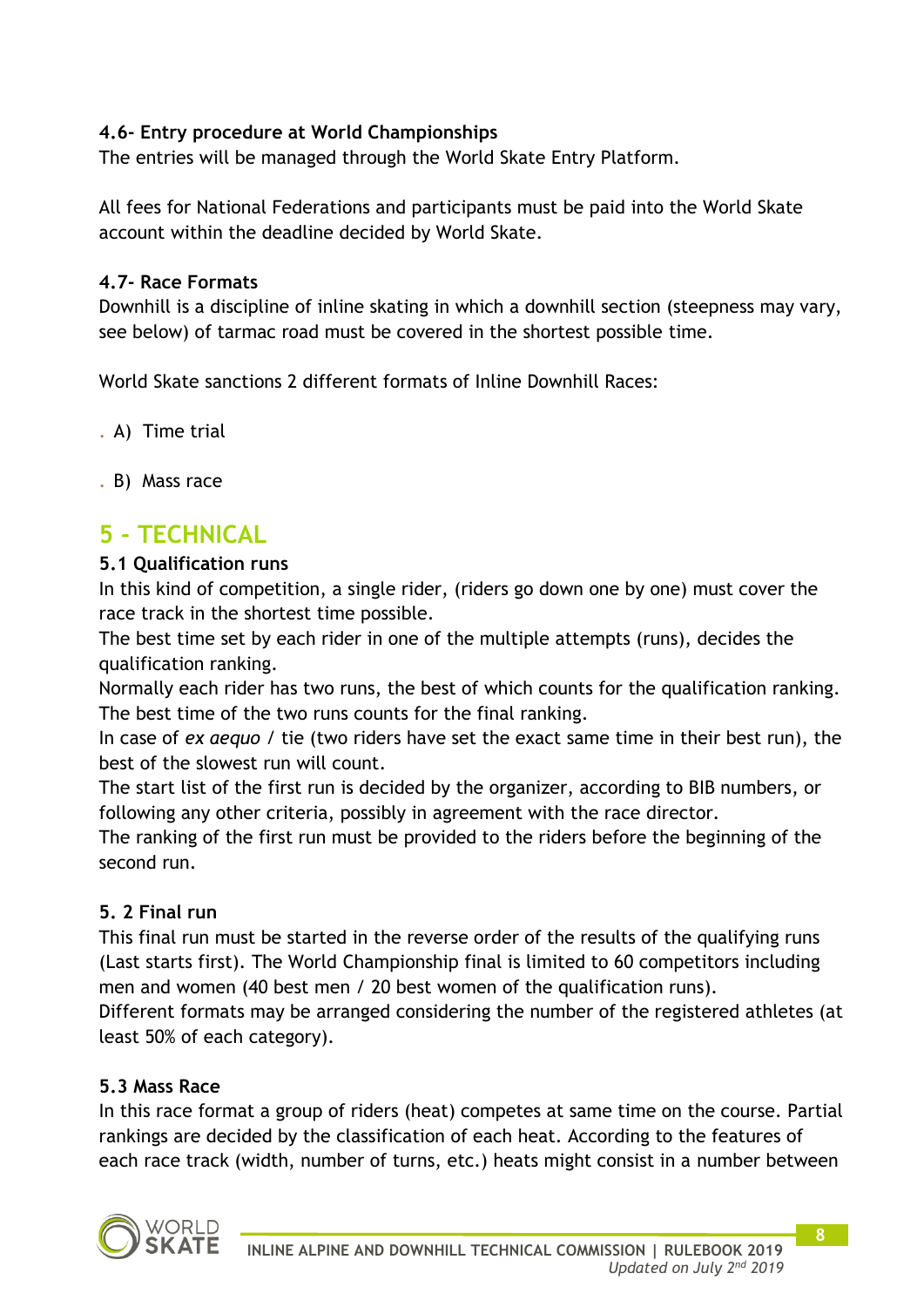### **4.6- Entry procedure at World Championships**

The entries will be managed through the World Skate Entry Platform.

All fees for National Federations and participants must be paid into the World Skate account within the deadline decided by World Skate.

### **4.7- Race Formats**

Downhill is a discipline of inline skating in which a downhill section (steepness may vary, see below) of tarmac road must be covered in the shortest possible time.

World Skate sanctions 2 different formats of Inline Downhill Races:

. A) Time trial

. B) Mass race

## **5 - TECHNICAL**

### **5.1 Qualification runs**

In this kind of competition, a single rider, (riders go down one by one) must cover the race track in the shortest time possible.

The best time set by each rider in one of the multiple attempts (runs), decides the qualification ranking.

Normally each rider has two runs, the best of which counts for the qualification ranking. The best time of the two runs counts for the final ranking.

In case of *ex aequo* / tie (two riders have set the exact same time in their best run), the best of the slowest run will count.

The start list of the first run is decided by the organizer, according to BIB numbers, or following any other criteria, possibly in agreement with the race director.

The ranking of the first run must be provided to the riders before the beginning of the second run.

### **5. 2 Final run**

This final run must be started in the reverse order of the results of the qualifying runs (Last starts first). The World Championship final is limited to 60 competitors including men and women (40 best men / 20 best women of the qualification runs). Different formats may be arranged considering the number of the registered athletes (at least 50% of each category).

### **5.3 Mass Race**

In this race format a group of riders (heat) competes at same time on the course. Partial rankings are decided by the classification of each heat. According to the features of each race track (width, number of turns, etc.) heats might consist in a number between

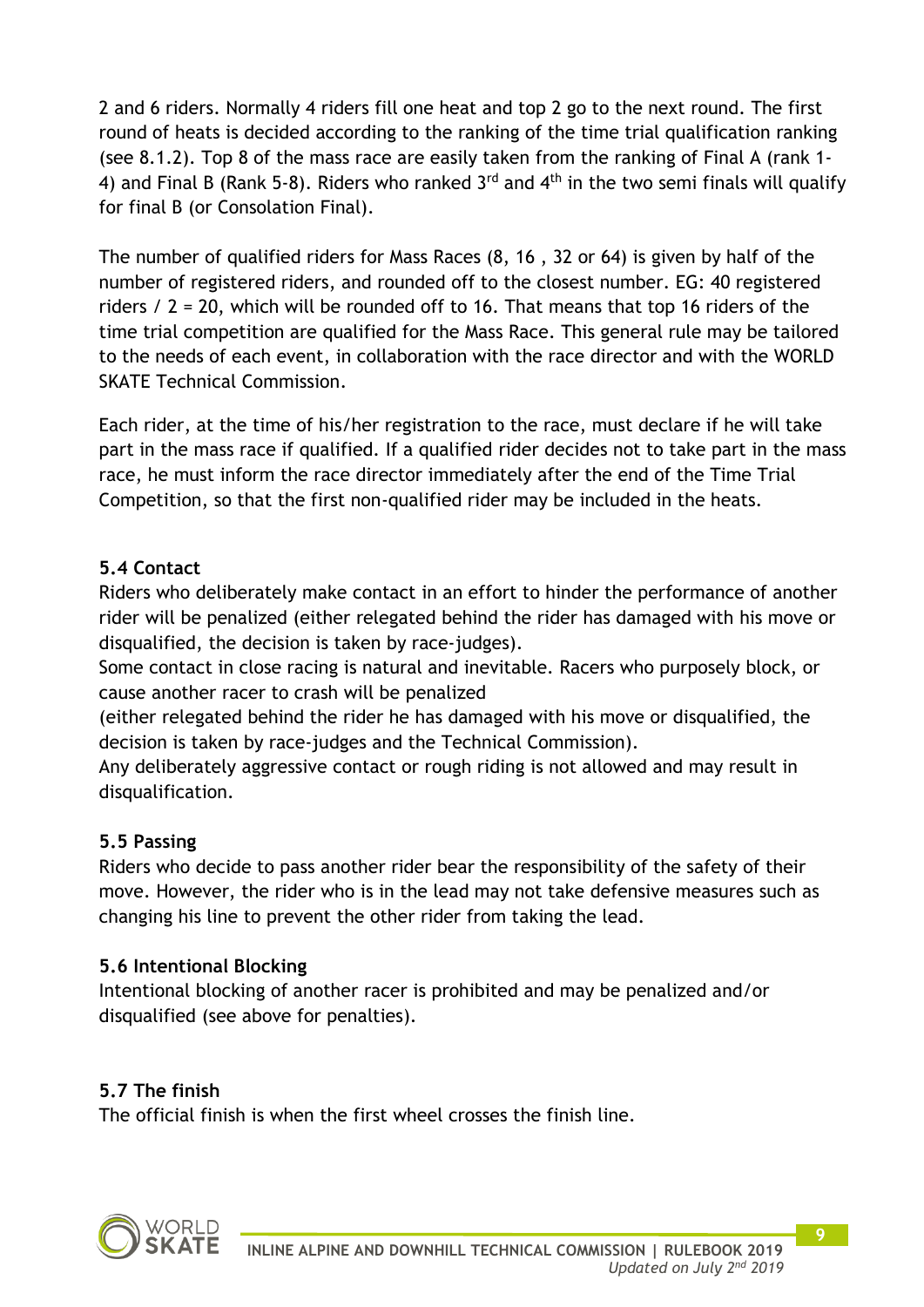2 and 6 riders. Normally 4 riders fill one heat and top 2 go to the next round. The first round of heats is decided according to the ranking of the time trial qualification ranking (see 8.1.2). Top 8 of the mass race are easily taken from the ranking of Final A (rank 1- 4) and Final B (Rank 5-8). Riders who ranked  $3<sup>rd</sup>$  and  $4<sup>th</sup>$  in the two semi finals will qualify for final B (or Consolation Final).

The number of qualified riders for Mass Races (8, 16 , 32 or 64) is given by half of the number of registered riders, and rounded off to the closest number. EG: 40 registered riders / 2 = 20, which will be rounded off to 16. That means that top 16 riders of the time trial competition are qualified for the Mass Race. This general rule may be tailored to the needs of each event, in collaboration with the race director and with the WORLD SKATE Technical Commission.

Each rider, at the time of his/her registration to the race, must declare if he will take part in the mass race if qualified. If a qualified rider decides not to take part in the mass race, he must inform the race director immediately after the end of the Time Trial Competition, so that the first non-qualified rider may be included in the heats.

### **5.4 Contact**

Riders who deliberately make contact in an effort to hinder the performance of another rider will be penalized (either relegated behind the rider has damaged with his move or disqualified, the decision is taken by race-judges).

Some contact in close racing is natural and inevitable. Racers who purposely block, or cause another racer to crash will be penalized

(either relegated behind the rider he has damaged with his move or disqualified, the decision is taken by race-judges and the Technical Commission).

Any deliberately aggressive contact or rough riding is not allowed and may result in disqualification.

### **5.5 Passing**

Riders who decide to pass another rider bear the responsibility of the safety of their move. However, the rider who is in the lead may not take defensive measures such as changing his line to prevent the other rider from taking the lead.

### **5.6 Intentional Blocking**

Intentional blocking of another racer is prohibited and may be penalized and/or disqualified (see above for penalties).

### **5.7 The finish**

The official finish is when the first wheel crosses the finish line.

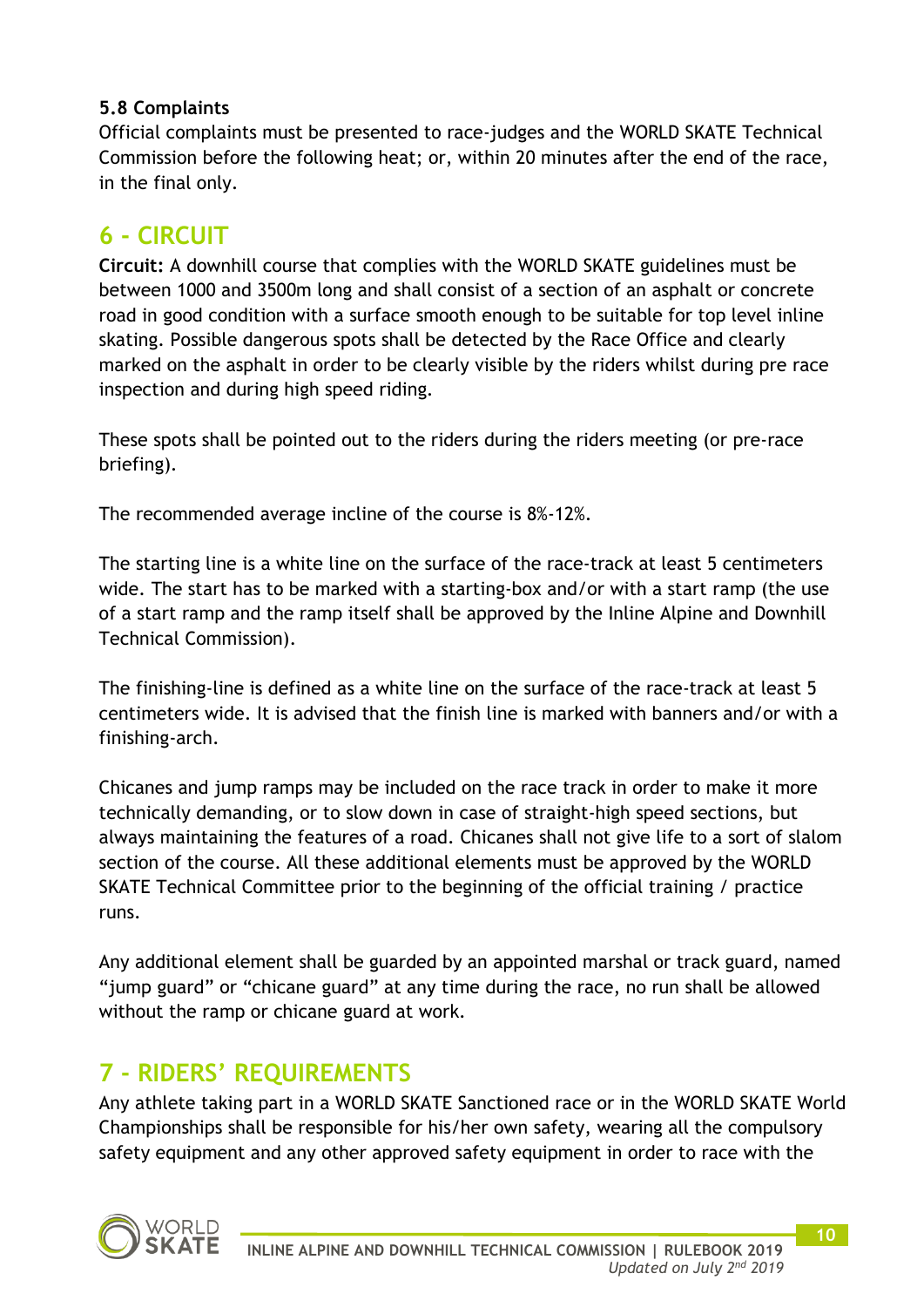### **5.8 Complaints**

Official complaints must be presented to race-judges and the WORLD SKATE Technical Commission before the following heat; or, within 20 minutes after the end of the race, in the final only.

## **6 - CIRCUIT**

**Circuit:** A downhill course that complies with the WORLD SKATE guidelines must be between 1000 and 3500m long and shall consist of a section of an asphalt or concrete road in good condition with a surface smooth enough to be suitable for top level inline skating. Possible dangerous spots shall be detected by the Race Office and clearly marked on the asphalt in order to be clearly visible by the riders whilst during pre race inspection and during high speed riding.

These spots shall be pointed out to the riders during the riders meeting (or pre-race briefing).

The recommended average incline of the course is 8%-12%.

The starting line is a white line on the surface of the race-track at least 5 centimeters wide. The start has to be marked with a starting-box and/or with a start ramp (the use of a start ramp and the ramp itself shall be approved by the Inline Alpine and Downhill Technical Commission).

The finishing-line is defined as a white line on the surface of the race-track at least 5 centimeters wide. It is advised that the finish line is marked with banners and/or with a finishing-arch.

Chicanes and jump ramps may be included on the race track in order to make it more technically demanding, or to slow down in case of straight-high speed sections, but always maintaining the features of a road. Chicanes shall not give life to a sort of slalom section of the course. All these additional elements must be approved by the WORLD SKATE Technical Committee prior to the beginning of the official training / practice runs.

Any additional element shall be guarded by an appointed marshal or track guard, named "jump guard" or "chicane guard" at any time during the race, no run shall be allowed without the ramp or chicane guard at work.

## **7 - RIDERS' REQUIREMENTS**

Any athlete taking part in a WORLD SKATE Sanctioned race or in the WORLD SKATE World Championships shall be responsible for his/her own safety, wearing all the compulsory safety equipment and any other approved safety equipment in order to race with the

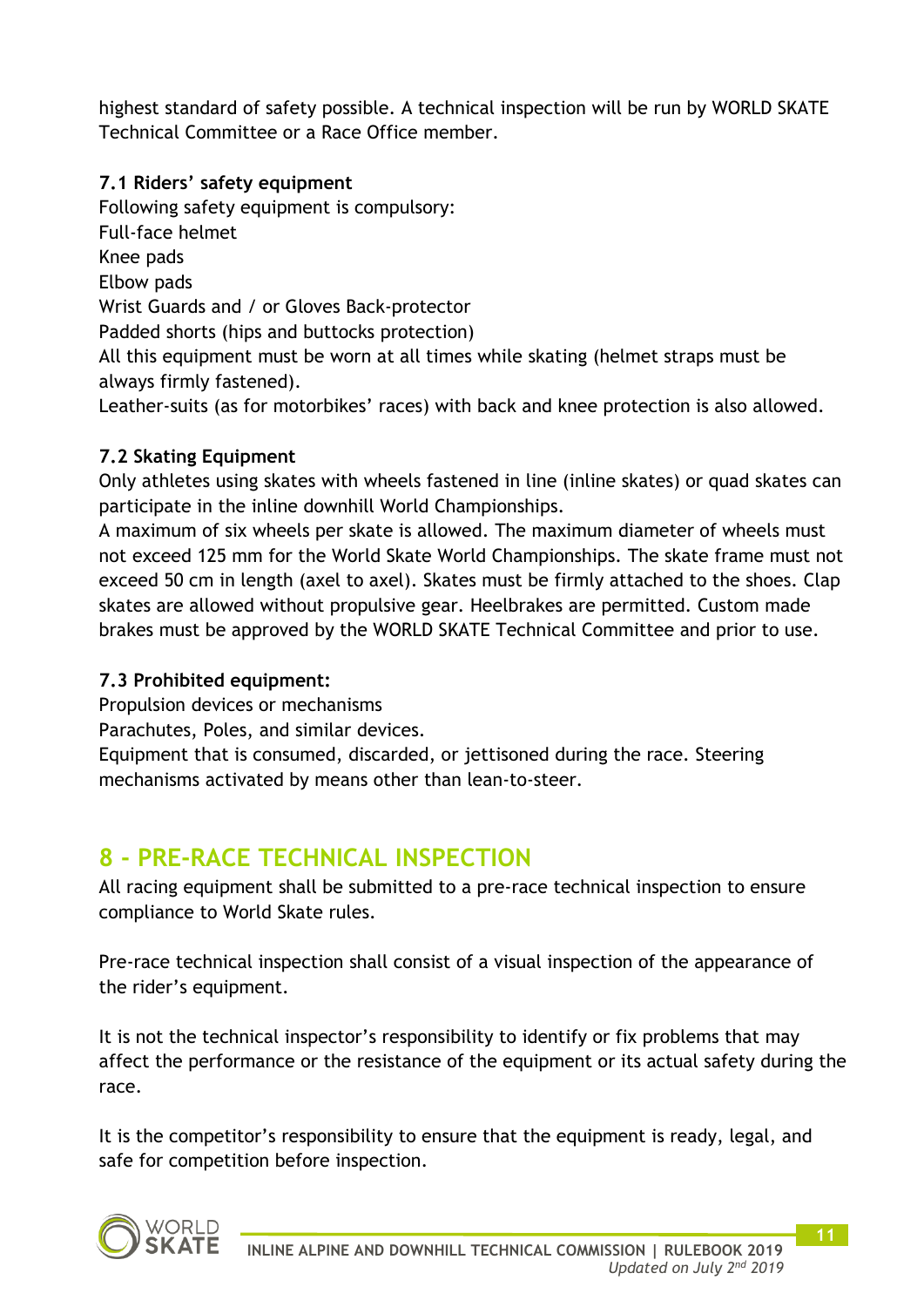highest standard of safety possible. A technical inspection will be run by WORLD SKATE Technical Committee or a Race Office member.

### **7.1 Riders' safety equipment**

Following safety equipment is compulsory: Full-face helmet Knee pads Elbow pads Wrist Guards and / or Gloves Back-protector Padded shorts (hips and buttocks protection) All this equipment must be worn at all times while skating (helmet straps must be always firmly fastened). Leather-suits (as for motorbikes' races) with back and knee protection is also allowed.

### **7.2 Skating Equipment**

Only athletes using skates with wheels fastened in line (inline skates) or quad skates can participate in the inline downhill World Championships.

A maximum of six wheels per skate is allowed. The maximum diameter of wheels must not exceed 125 mm for the World Skate World Championships. The skate frame must not exceed 50 cm in length (axel to axel). Skates must be firmly attached to the shoes. Clap skates are allowed without propulsive gear. Heelbrakes are permitted. Custom made brakes must be approved by the WORLD SKATE Technical Committee and prior to use.

### **7.3 Prohibited equipment:**

Propulsion devices or mechanisms

Parachutes, Poles, and similar devices.

Equipment that is consumed, discarded, or jettisoned during the race. Steering mechanisms activated by means other than lean-to-steer.

## **8 - PRE-RACE TECHNICAL INSPECTION**

All racing equipment shall be submitted to a pre-race technical inspection to ensure compliance to World Skate rules.

Pre-race technical inspection shall consist of a visual inspection of the appearance of the rider's equipment.

It is not the technical inspector's responsibility to identify or fix problems that may affect the performance or the resistance of the equipment or its actual safety during the race.

It is the competitor's responsibility to ensure that the equipment is ready, legal, and safe for competition before inspection.